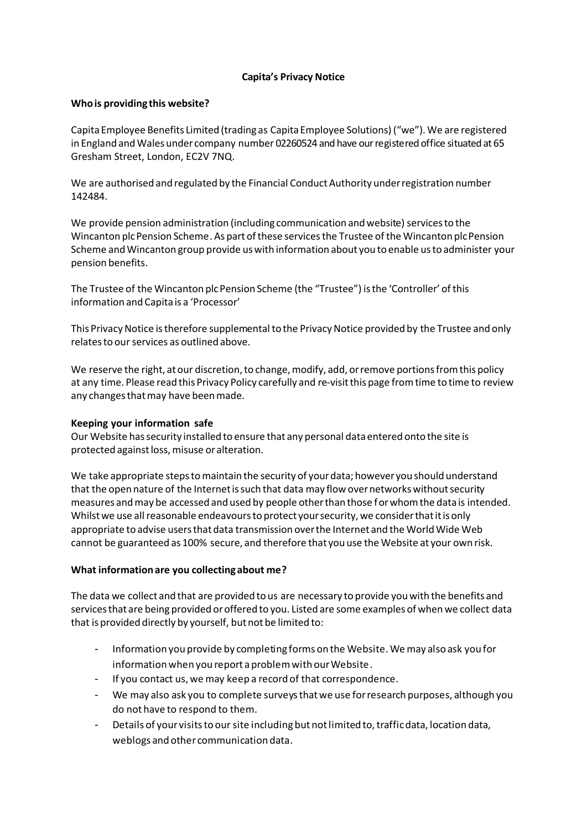# **Capita's Privacy Notice**

## **Who is providing this website?**

Capita Employee Benefits Limited (trading as Capita Employee Solutions) ("we"). We are registered in England and Wales under company number 02260524 and have ourregistered office situated at 65 Gresham Street, London, EC2V 7NQ.

We are authorised and regulated by the Financial Conduct Authority under registration number 142484.

We provide pension administration (including communication and website) services to the Wincanton plc Pension Scheme. As part of these services the Trustee of the Wincanton plc Pension Scheme and Wincanton group provide us with information about you to enable us to administer your pension benefits.

The Trustee of the Wincanton plc Pension Scheme (the "Trustee") is the 'Controller' of this information and Capita is a 'Processor'

This Privacy Notice is therefore supplemental to the Privacy Notice provided by the Trustee and only relates to our services as outlined above.

We reserve the right, at our discretion, to change, modify, add, or remove portions from this policy at any time. Please read this Privacy Policy carefully and re-visit this page from time to time to review any changes that may have been made.

### **Keeping your information safe**

Our Website has security installed to ensure that any personal data entered onto the site is protected against loss, misuse or alteration.

We take appropriate steps to maintain the security of your data; however you should understand that the open nature of the Internet is such that data may flow over networks without security measures and may be accessed and used by people other than those for whom the data is intended. Whilst we use all reasonable endeavours to protect your security, we consider that it is only appropriate to advise users that data transmission over the Internet and the World Wide Web cannot be guaranteed as 100% secure, and therefore that you use the Website at your own risk.

# **What information are you collecting about me?**

The data we collect and that are provided to us are necessary to provide you with the benefits and services that are being provided oroffered to you. Listed are some examples of when we collect data that is provided directly by yourself, but not be limited to:

- Information you provide by completing forms on the Website. We may also ask you for information when you report a problem with our Website.
- If you contact us, we may keep a record of that correspondence.
- We may also ask you to complete surveys that we use for research purposes, although you do not have to respond to them.
- Details of your visits to our site including but not limited to, traffic data, location data, weblogs and other communication data.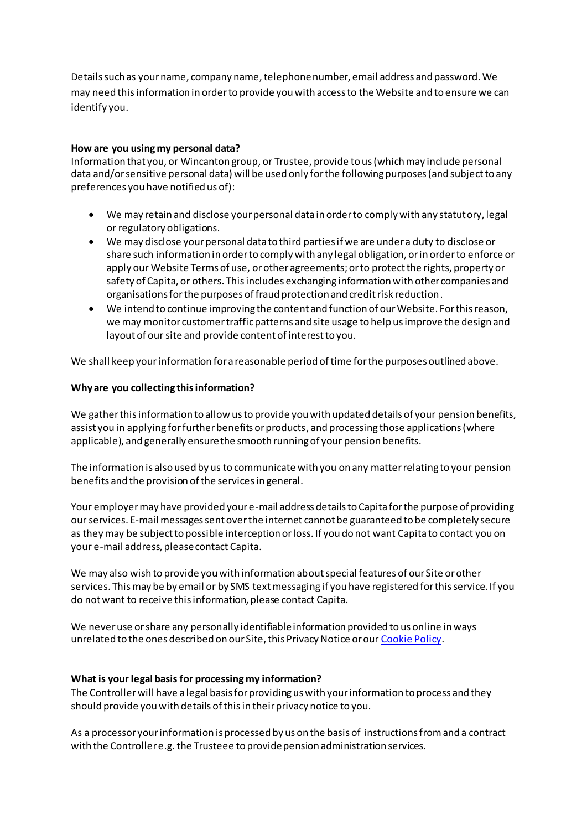Details such as your name, company name, telephone number, email address and password. We may need this information in order to provide you with access to the Website and to ensure we can identify you.

## **How are you using my personal data?**

Information that you, or Wincanton group, or Trustee, provide to us (which may include personal data and/or sensitive personal data) will be used only for the following purposes (and subject to any preferences you have notified us of):

- We may retain and disclose your personal data in order to comply with any statutory, legal or regulatory obligations.
- We may disclose your personal data to third parties if we are under a duty to disclose or share such information in order to comply with any legal obligation, or in order to enforce or apply our Website Terms of use, or other agreements; or to protect the rights, property or safety of Capita, or others. This includes exchanging information with other companies and organisations for the purposes of fraud protection and credit risk reduction.
- We intend to continue improving the content and function of our Website. For this reason, we may monitor customer traffic patterns and site usage to help us improve the design and layout of our site and provide content of interest to you.

We shall keep your information for a reasonable period of time for the purposes outlined above.

## **Why are you collecting this information?**

We gather this information to allow us to provide you with updated details of your pension benefits, assist you in applying for further benefits or products, and processing those applications (where applicable), and generally ensure the smooth running of your pension benefits.

The information is also used by us to communicate with you on any matter relating to your pension benefits and the provision of the services in general.

Your employer may have provided your e-mail address details to Capita for the purpose of providing our services. E-mail messages sent over the internet cannot be guaranteed to be completely secure as they may be subject to possible interception or loss. If you do not want Capita to contact you on your e-mail address, please contact Capita.

We may also wish to provide you with information about special features of our Site or other services. This may be by email or by SMS text messaging if you have registered for this service. If you do not want to receive this information, please contact Capita.

We never use or share any personally identifiable information provided to us online in ways unrelated to the ones described on our Site, this Privacy Notice or our [Cookie Policy](http://www.wincantonpensions.co.uk/cookie-policy).

### **What is your legal basis for processing my information?**

The Controller will have a legal basis for providing us with your information to process and they should provide you with details of this in their privacy notice to you.

As a processor your information is processed by us on the basis of instructions from and a contract with the Controller e.g. the Trusteee to provide pension administration services.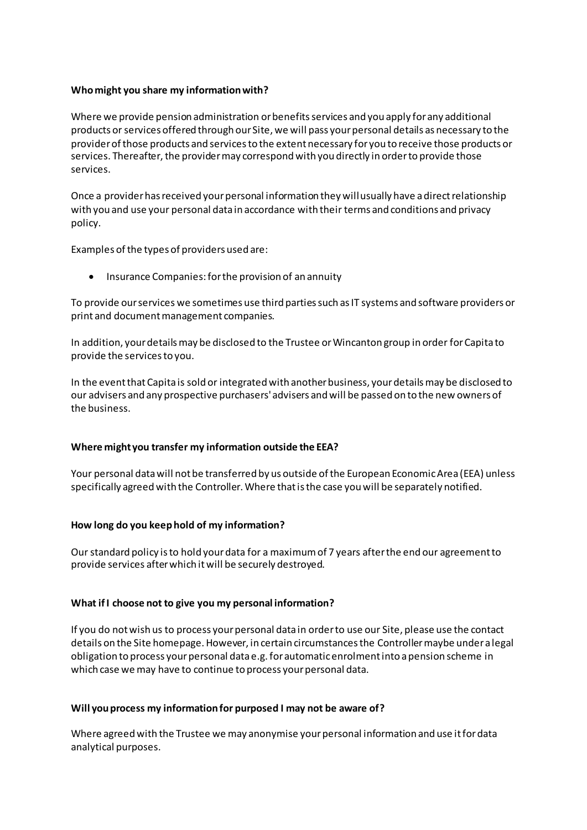## **Who might you share my information with?**

Where we provide pension administration or benefitsservices and you apply for any additional products or services offered through our Site, we will pass your personal details as necessary to the provider of those products and services to the extent necessary for you to receive those products or services. Thereafter, the provider may correspond with you directly in order to provide those services.

Once a provider has received your personal information they will usually have a direct relationship with you and use your personal data in accordance with their terms and conditions and privacy policy.

Examples of the types of providers used are:

• Insurance Companies: for the provision of an annuity

To provide our services we sometimes use third parties such as IT systems and software providers or print and document management companies.

In addition, your details may be disclosed to the Trustee or Wincanton group in order for Capita to provide the services to you.

In the event that Capita is sold or integrated with another business, your details may be disclosed to our advisers and any prospective purchasers' advisers and will be passed on to the new owners of the business.

### **Where might you transfer my information outside the EEA?**

Your personal data will not be transferred by us outside of the European Economic Area (EEA) unless specifically agreed with the Controller. Where that is the case you will be separately notified.

### **How long do you keep hold of my information?**

Our standard policy is to hold your data for a maximum of 7 years after the end our agreement to provide services after which it will be securely destroyed.

### **What if I choose not to give you my personal information?**

If you do not wish us to process your personal data in order to use our Site, please use the contact details on the Site homepage. However, in certain circumstances the Controller maybe under a legal obligation to process your personal data e.g. for automatic enrolment into a pension scheme in which case we may have to continue to process your personal data.

### **Will you process my information for purposed I may not be aware of?**

Where agreed with the Trustee we may anonymise your personal information and use it for data analytical purposes.